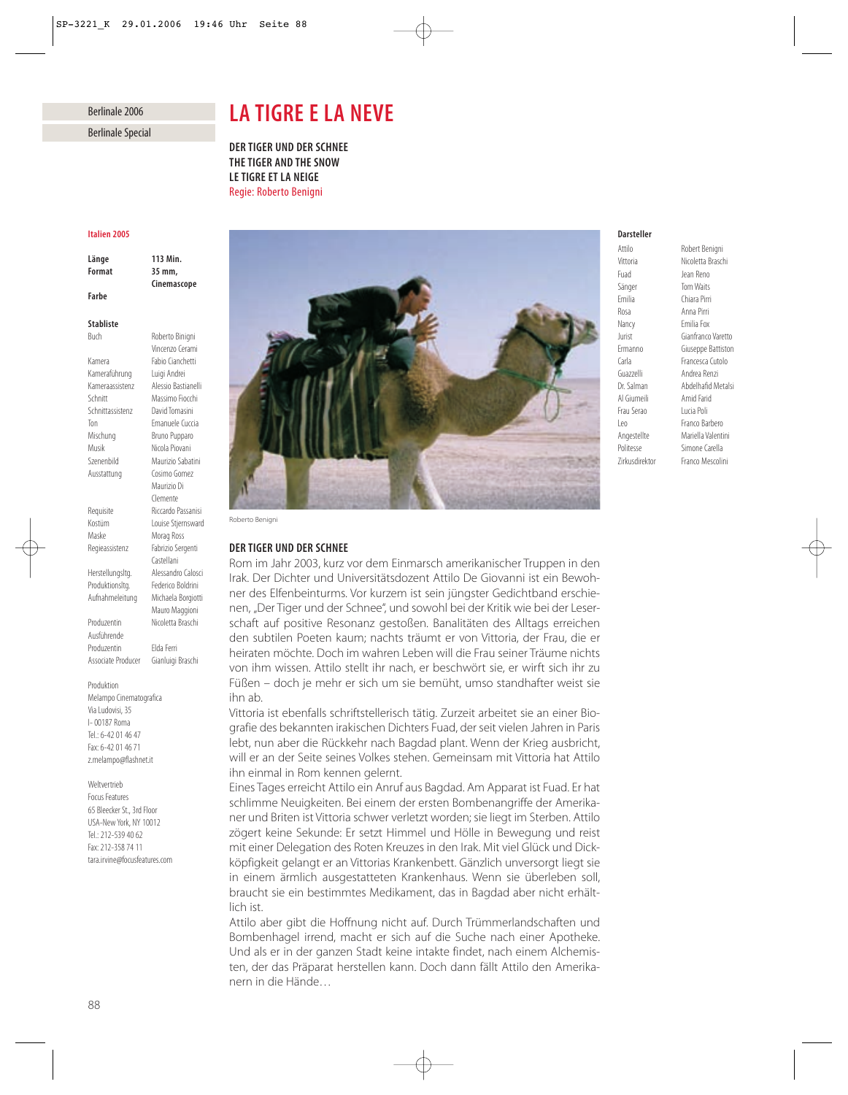## Berlinale 2006 Berlinale Special

#### *Italien 2005*

*Farbe*

*Länge 113 Min. Format 35 mm,*

Buch Roberto Binigni

*Cinemascope*

Vincenzo Cerami

Maurizio Di Clemente

Morag Ross

Castellani

Mauro Maggioni

#### *Stabliste*

Kamera Fabio Cianchetti<br>Kameraführung Luigi Andrei Kameraführung Kameraassistenz Alessio Bastianelli Schnitt Massimo Fiocchi Schnittassistenz David Tomasini Ton Emanuele Cuccia Mischung Bruno Pupparo Musik Nicola Piovani Szenenbild Maurizio Sabatini Ausstattung Cosimo Gomez Requisite Riccardo Passanisi Kostüm Louise Stjernsward Regieassistenz Fabrizio Sergenti Herstellungsltg. Alessandro Calosci Produktionsltg. Federico Boldrini Aufnahmeleitung Michaela Borgiotti Produzentin Nicoletta Braschi Ausführende

Produzentin Elda Ferri Associate Producer Gianluigi Braschi

Produktion Melampo Cinematografica

Via Ludovisi, 35 I- 00187 Roma Tel.: 6-42 01 46 47 Fax: 6-42 01 46 71 z.melampo@flashnet.it

Weltvertrieb Focus Features 65 Bleecker St., 3rd Floor USA-New York, NY 10012 Tel.: 212-539 40 62 Fax: 212-358 74 11 tara.irvine@focusfeatures.com

# *LA TIGRE E LA NEVE*

*DER TIGER UND DER SCHNEE THE TIGER AND THE SNOW LE TIGRE ET LA NEIGE* Regie: Roberto Benigni



Roberto Benigni

#### *DER TIGER UND DER SCHNEE*

Rom im Jahr 2003, kurz vor dem Einmarsch amerikanischer Truppen in den Irak. Der Dichter und Universitätsdozent Attilo De Giovanni ist ein Bewohner des Elfenbeinturms. Vor kurzem ist sein jüngster Gedichtband erschienen, "Der Tiger und der Schnee", und sowohl bei der Kritik wie bei der Leserschaft auf positive Resonanz gestoßen. Banalitäten des Alltags erreichen den subtilen Poeten kaum; nachts träumt er von Vittoria, der Frau, die er heiraten möchte. Doch im wahren Leben will die Frau seiner Träume nichts von ihm wissen. Attilo stellt ihr nach, er beschwört sie, er wirft sich ihr zu Füßen – doch je mehr er sich um sie bemüht, umso standhafter weist sie ihn ab.

Vittoria ist ebenfalls schriftstellerisch tätig. Zurzeit arbeitet sie an einer Biografie des bekannten irakischen Dichters Fuad, der seit vielen Jahren in Paris lebt, nun aber die Rückkehr nach Bagdad plant. Wenn der Krieg ausbricht, will er an der Seite seines Volkes stehen. Gemeinsam mit Vittoria hat Attilo ihn einmal in Rom kennen gelernt.

Eines Tages erreicht Attilo ein Anruf aus Bagdad. Am Apparat ist Fuad. Er hat schlimme Neuigkeiten. Bei einem der ersten Bombenangriffe der Amerikaner und Briten ist Vittoria schwer verletzt worden; sie liegt im Sterben. Attilo zögert keine Sekunde: Er setzt Himmel und Hölle in Bewegung und reist mit einer Delegation des Roten Kreuzes in den Irak. Mit viel Glück und Dickköpfigkeit gelangt er an Vittorias Krankenbett. Gänzlich unversorgt liegt sie in einem ärmlich ausgestatteten Krankenhaus. Wenn sie überleben soll, braucht sie ein bestimmtes Medikament, das in Bagdad aber nicht erhältlich ist.

Attilo aber gibt die Hoffnung nicht auf. Durch Trümmerlandschaften und Bombenhagel irrend, macht er sich auf die Suche nach einer Apotheke. Und als er in der ganzen Stadt keine intakte findet, nach einem Alchemisten, der das Präparat herstellen kann. Doch dann fällt Attilo den Amerikanern in die Hände…

#### *Darsteller*

Attilo Robert Benigni<br>Vittoria Nicoletta Brasc Fuad Jean Reno Sänger Tom Waits Emilia Chiara Pirri Rosa Anna Pirri Nancy Emilia Fox Jurist Gianfranco Varetto Ermanno Giuseppe Battiston Carla Francesca Cutolo Dr. Salman Abdelhafid Metalsi Al Giumeili Amid Farid Frau Serao Lucia Poli Leo Franco Barbero Angestellte Mariella Valentini Politesse Simone Carella Zirkusdirektor Franco Mescolini

Nicoletta Braschi Andrea Renzi